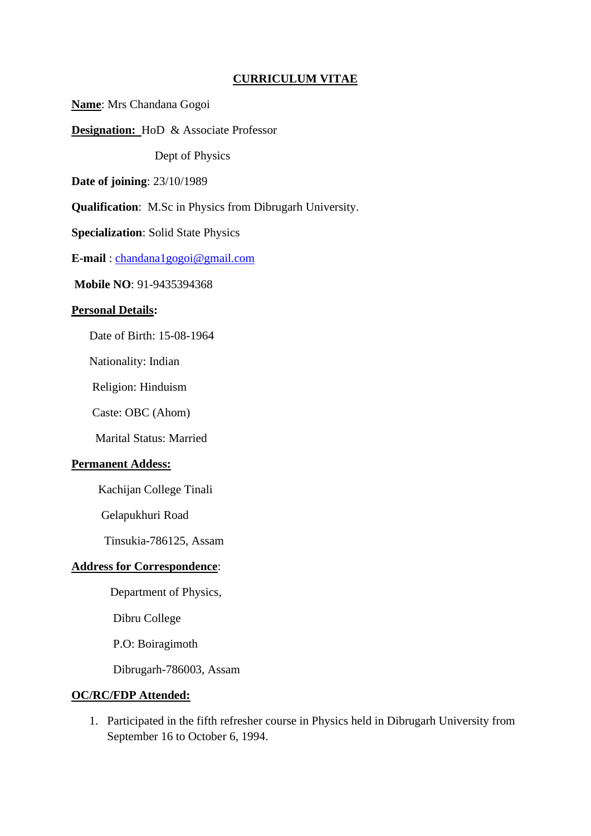## **CURRICULUM VITAE**

**Name**: Mrs Chandana Gogoi

**Designation:** HoD & Associate Professor

Dept of Physics

**Date of joining**: 23/10/1989

**Qualification**: M.Sc in Physics from Dibrugarh University.

**Specialization**: Solid State Physics

**E-mail** : [chandana1gogoi@gmail.com](mailto:chandana1gogoi@gmail.com)

**Mobile NO**: 91-9435394368

#### **Personal Details:**

Date of Birth: 15-08-1964

Nationality: Indian

Religion: Hinduism

Caste: OBC (Ahom)

Marital Status: Married

### **Permanent Addess:**

Kachijan College Tinali

Gelapukhuri Road

Tinsukia-786125, Assam

## **Address for Correspondence**:

Department of Physics,

Dibru College

P.O: Boiragimoth

Dibrugarh-786003, Assam

#### **OC/RC/FDP Attended:**

1. Participated in the fifth refresher course in Physics held in Dibrugarh University from September 16 to October 6, 1994.